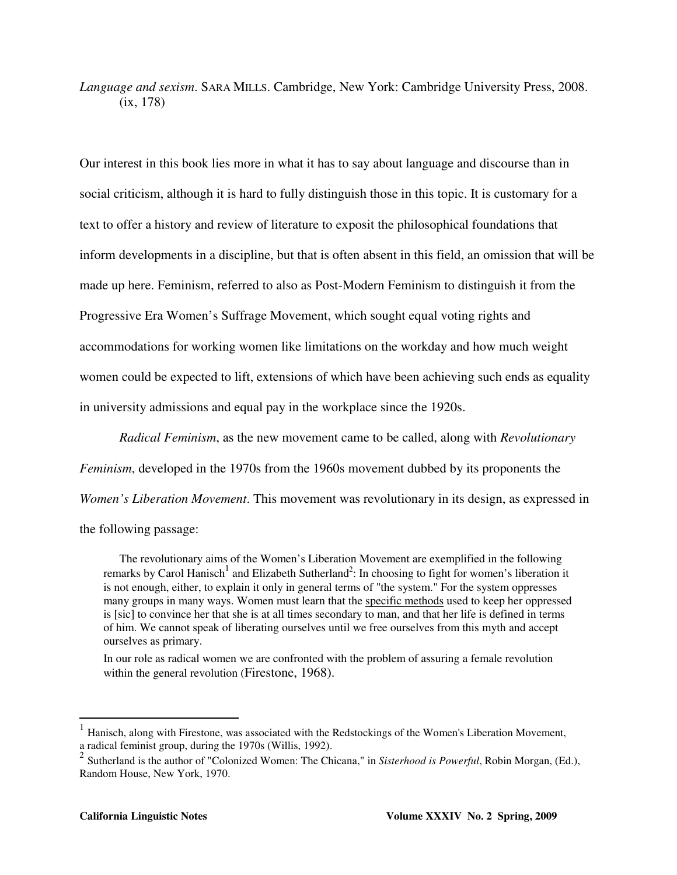*Language and sexism*. SARA MILLS. Cambridge, New York: Cambridge University Press, 2008. (ix, 178)

Our interest in this book lies more in what it has to say about language and discourse than in social criticism, although it is hard to fully distinguish those in this topic. It is customary for a text to offer a history and review of literature to exposit the philosophical foundations that inform developments in a discipline, but that is often absent in this field, an omission that will be made up here. Feminism, referred to also as Post-Modern Feminism to distinguish it from the Progressive Era Women's Suffrage Movement, which sought equal voting rights and accommodations for working women like limitations on the workday and how much weight women could be expected to lift, extensions of which have been achieving such ends as equality in university admissions and equal pay in the workplace since the 1920s.

*Radical Feminism*, as the new movement came to be called, along with *Revolutionary* 

*Feminism*, developed in the 1970s from the 1960s movement dubbed by its proponents the

*Women's Liberation Movement*. This movement was revolutionary in its design, as expressed in

the following passage:

The revolutionary aims of the Women's Liberation Movement are exemplified in the following remarks by Carol Hanisch<sup>1</sup> and Elizabeth Sutherland<sup>2</sup>: In choosing to fight for women's liberation it is not enough, either, to explain it only in general terms of "the system." For the system oppresses many groups in many ways. Women must learn that the specific methods used to keep her oppressed is [sic] to convince her that she is at all times secondary to man, and that her life is defined in terms of him. We cannot speak of liberating ourselves until we free ourselves from this myth and accept ourselves as primary.

In our role as radical women we are confronted with the problem of assuring a female revolution within the general revolution (Firestone, 1968).

 $\overline{a}$ 

<sup>1</sup> Hanisch, along with Firestone, was associated with the Redstockings of the Women's Liberation Movement, a radical feminist group, during the 1970s (Willis, 1992).

<sup>2</sup> Sutherland is the author of "Colonized Women: The Chicana," in *Sisterhood is Powerful*, Robin Morgan, (Ed.), Random House, New York, 1970.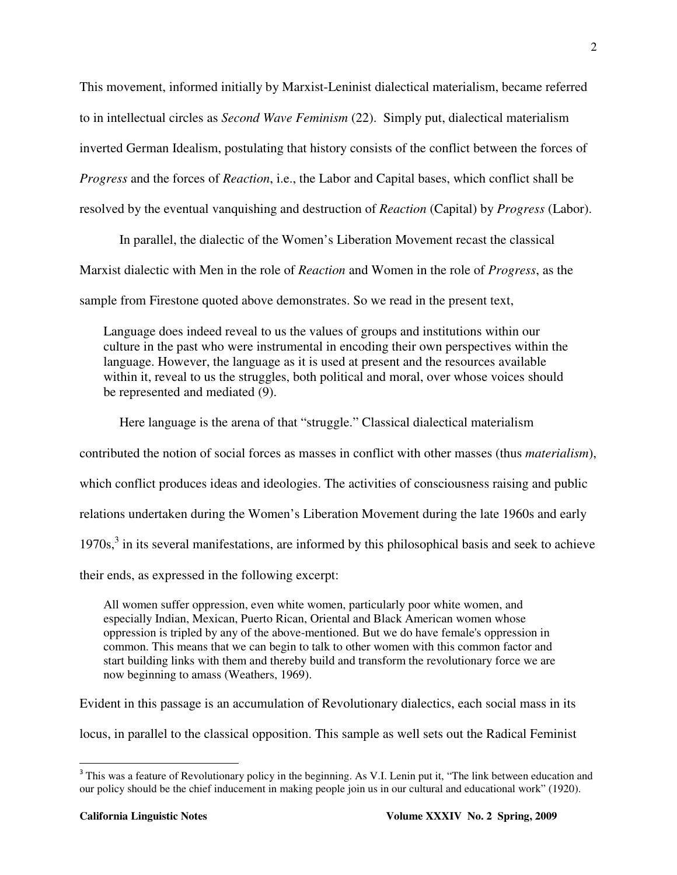This movement, informed initially by Marxist-Leninist dialectical materialism, became referred to in intellectual circles as *Second Wave Feminism* (22). Simply put, dialectical materialism inverted German Idealism, postulating that history consists of the conflict between the forces of *Progress* and the forces of *Reaction*, i.e., the Labor and Capital bases, which conflict shall be resolved by the eventual vanquishing and destruction of *Reaction* (Capital) by *Progress* (Labor).

In parallel, the dialectic of the Women's Liberation Movement recast the classical Marxist dialectic with Men in the role of *Reaction* and Women in the role of *Progress*, as the sample from Firestone quoted above demonstrates. So we read in the present text,

Language does indeed reveal to us the values of groups and institutions within our culture in the past who were instrumental in encoding their own perspectives within the language. However, the language as it is used at present and the resources available within it, reveal to us the struggles, both political and moral, over whose voices should be represented and mediated (9).

Here language is the arena of that "struggle." Classical dialectical materialism contributed the notion of social forces as masses in conflict with other masses (thus *materialism*), which conflict produces ideas and ideologies. The activities of consciousness raising and public relations undertaken during the Women's Liberation Movement during the late 1960s and early  $1970s$ ,<sup>3</sup> in its several manifestations, are informed by this philosophical basis and seek to achieve their ends, as expressed in the following excerpt:

All women suffer oppression, even white women, particularly poor white women, and especially Indian, Mexican, Puerto Rican, Oriental and Black American women whose oppression is tripled by any of the above-mentioned. But we do have female's oppression in common. This means that we can begin to talk to other women with this common factor and start building links with them and thereby build and transform the revolutionary force we are now beginning to amass (Weathers, 1969).

Evident in this passage is an accumulation of Revolutionary dialectics, each social mass in its

locus, in parallel to the classical opposition. This sample as well sets out the Radical Feminist

<sup>&</sup>lt;sup>3</sup> This was a feature of Revolutionary policy in the beginning. As V.I. Lenin put it, "The link between education and our policy should be the chief inducement in making people join us in our cultural and educational work" (1920).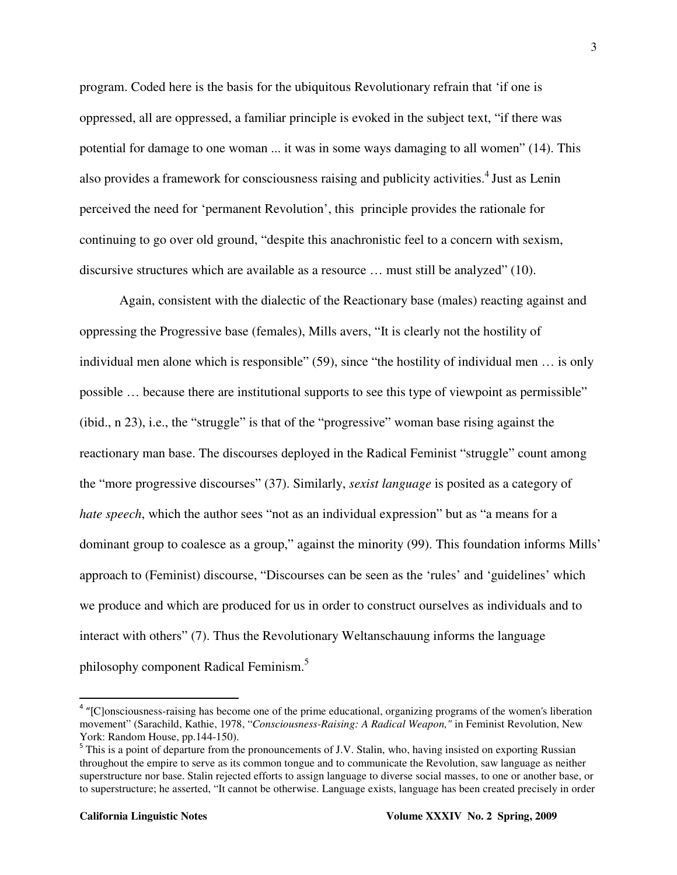program. Coded here is the basis for the ubiquitous Revolutionary refrain that 'if one is oppressed, all are oppressed, a familiar principle is evoked in the subject text, "if there was potential for damage to one woman ... it was in some ways damaging to all women" (14). This also provides a framework for consciousness raising and publicity activities.<sup>4</sup> Just as Lenin perceived the need for 'permanent Revolution', this principle provides the rationale for continuing to go over old ground, "despite this anachronistic feel to a concern with sexism, discursive structures which are available as a resource … must still be analyzed" (10).

Again, consistent with the dialectic of the Reactionary base (males) reacting against and oppressing the Progressive base (females), Mills avers, "It is clearly not the hostility of individual men alone which is responsible" (59), since "the hostility of individual men … is only possible … because there are institutional supports to see this type of viewpoint as permissible" (ibid., n 23), i.e., the "struggle" is that of the "progressive" woman base rising against the reactionary man base. The discourses deployed in the Radical Feminist "struggle" count among the "more progressive discourses" (37). Similarly, *sexist language* is posited as a category of *hate speech*, which the author sees "not as an individual expression" but as "a means for a dominant group to coalesce as a group," against the minority (99). This foundation informs Mills' approach to (Feminist) discourse, "Discourses can be seen as the 'rules' and 'guidelines' which we produce and which are produced for us in order to construct ourselves as individuals and to interact with others" (7). Thus the Revolutionary Weltanschauung informs the language philosophy component Radical Feminism.<sup>5</sup>

<sup>&</sup>lt;sup>4</sup> "[C]onsciousness-raising has become one of the prime educational, organizing programs of the women's liberation movement" (Sarachild, Kathie, 1978, "*Consciousness-Raising: A Radical Weapon,"* in Feminist Revolution, New York: Random House, pp.144-150).

<sup>&</sup>lt;sup>5</sup> This is a point of departure from the pronouncements of J.V. Stalin, who, having insisted on exporting Russian throughout the empire to serve as its common tongue and to communicate the Revolution, saw language as neither superstructure nor base. Stalin rejected efforts to assign language to diverse social masses, to one or another base, or to superstructure; he asserted, "It cannot be otherwise. Language exists, language has been created precisely in order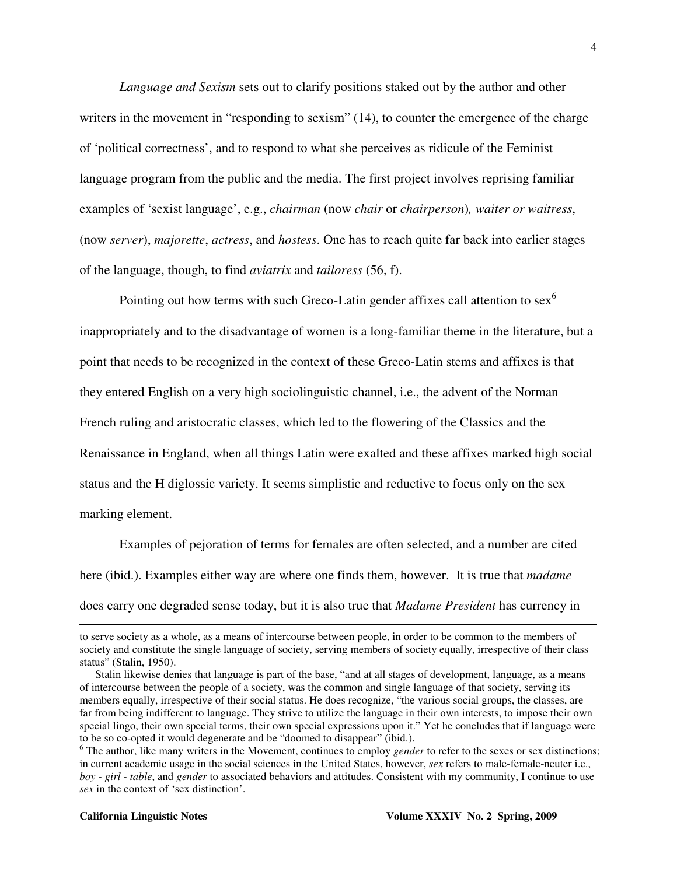*Language and Sexism* sets out to clarify positions staked out by the author and other writers in the movement in "responding to sexism" (14), to counter the emergence of the charge of 'political correctness', and to respond to what she perceives as ridicule of the Feminist language program from the public and the media. The first project involves reprising familiar examples of 'sexist language', e.g., *chairman* (now *chair* or *chairperson*)*, waiter or waitress*, (now *server*), *majorette*, *actress*, and *hostess*. One has to reach quite far back into earlier stages of the language, though, to find *aviatrix* and *tailoress* (56, f).

Pointing out how terms with such Greco-Latin gender affixes call attention to  $sex<sup>6</sup>$ inappropriately and to the disadvantage of women is a long-familiar theme in the literature, but a point that needs to be recognized in the context of these Greco-Latin stems and affixes is that they entered English on a very high sociolinguistic channel, i.e., the advent of the Norman French ruling and aristocratic classes, which led to the flowering of the Classics and the Renaissance in England, when all things Latin were exalted and these affixes marked high social status and the H diglossic variety. It seems simplistic and reductive to focus only on the sex marking element.

 Examples of pejoration of terms for females are often selected, and a number are cited here (ibid.). Examples either way are where one finds them, however. It is true that *madame* does carry one degraded sense today, but it is also true that *Madame President* has currency in

 $\overline{a}$ 

to serve society as a whole, as a means of intercourse between people, in order to be common to the members of society and constitute the single language of society, serving members of society equally, irrespective of their class status" (Stalin, 1950).

Stalin likewise denies that language is part of the base, "and at all stages of development, language, as a means of intercourse between the people of a society, was the common and single language of that society, serving its members equally, irrespective of their social status. He does recognize, "the various social groups, the classes, are far from being indifferent to language. They strive to utilize the language in their own interests, to impose their own special lingo, their own special terms, their own special expressions upon it." Yet he concludes that if language were to be so co-opted it would degenerate and be "doomed to disappear" (ibid.).

<sup>&</sup>lt;sup>6</sup> The author, like many writers in the Movement, continues to employ *gender* to refer to the sexes or sex distinctions; in current academic usage in the social sciences in the United States, however, *sex* refers to male-female-neuter i.e., *boy - girl - table*, and *gender* to associated behaviors and attitudes. Consistent with my community, I continue to use *sex* in the context of 'sex distinction'.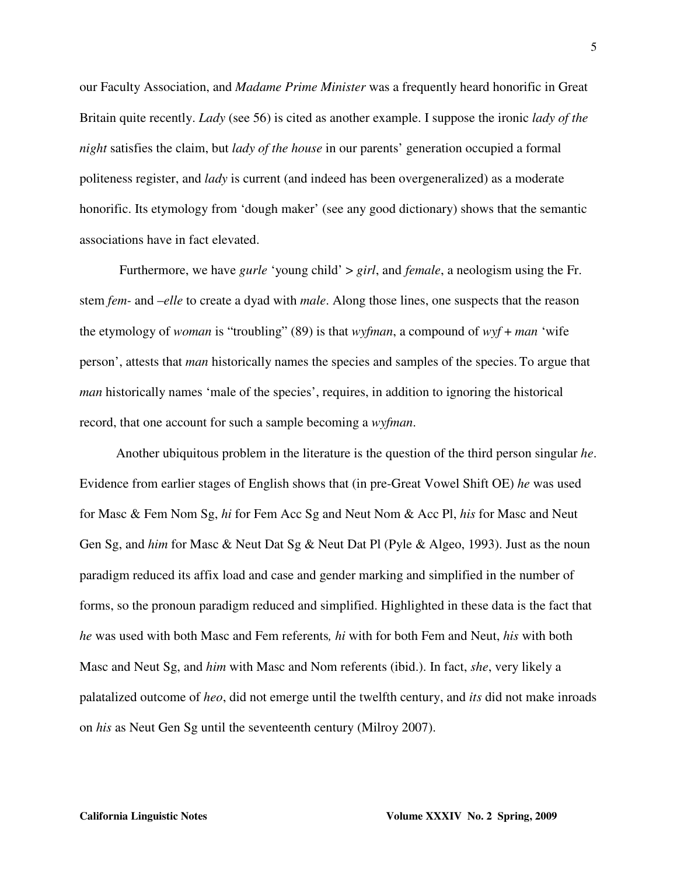our Faculty Association, and *Madame Prime Minister* was a frequently heard honorific in Great Britain quite recently. *Lady* (see 56) is cited as another example. I suppose the ironic *lady of the night* satisfies the claim, but *lady of the house* in our parents' generation occupied a formal politeness register, and *lady* is current (and indeed has been overgeneralized) as a moderate honorific. Its etymology from 'dough maker' (see any good dictionary) shows that the semantic associations have in fact elevated.

Furthermore, we have *gurle* 'young child' > *girl*, and *female*, a neologism using the Fr. stem *fem-* and –*elle* to create a dyad with *male*. Along those lines, one suspects that the reason the etymology of *woman* is "troubling" (89) is that *wyfman*, a compound of *wyf* + *man* 'wife person', attests that *man* historically names the species and samples of the species. To argue that *man* historically names 'male of the species', requires, in addition to ignoring the historical record, that one account for such a sample becoming a *wyfman*.

 Another ubiquitous problem in the literature is the question of the third person singular *he*. Evidence from earlier stages of English shows that (in pre-Great Vowel Shift OE) *he* was used for Masc & Fem Nom Sg, *hi* for Fem Acc Sg and Neut Nom & Acc Pl, *his* for Masc and Neut Gen Sg, and *him* for Masc & Neut Dat Sg & Neut Dat Pl (Pyle & Algeo, 1993). Just as the noun paradigm reduced its affix load and case and gender marking and simplified in the number of forms, so the pronoun paradigm reduced and simplified. Highlighted in these data is the fact that *he* was used with both Masc and Fem referents*, hi* with for both Fem and Neut, *his* with both Masc and Neut Sg, and *him* with Masc and Nom referents (ibid.). In fact, *she*, very likely a palatalized outcome of *heo*, did not emerge until the twelfth century, and *its* did not make inroads on *his* as Neut Gen Sg until the seventeenth century (Milroy 2007).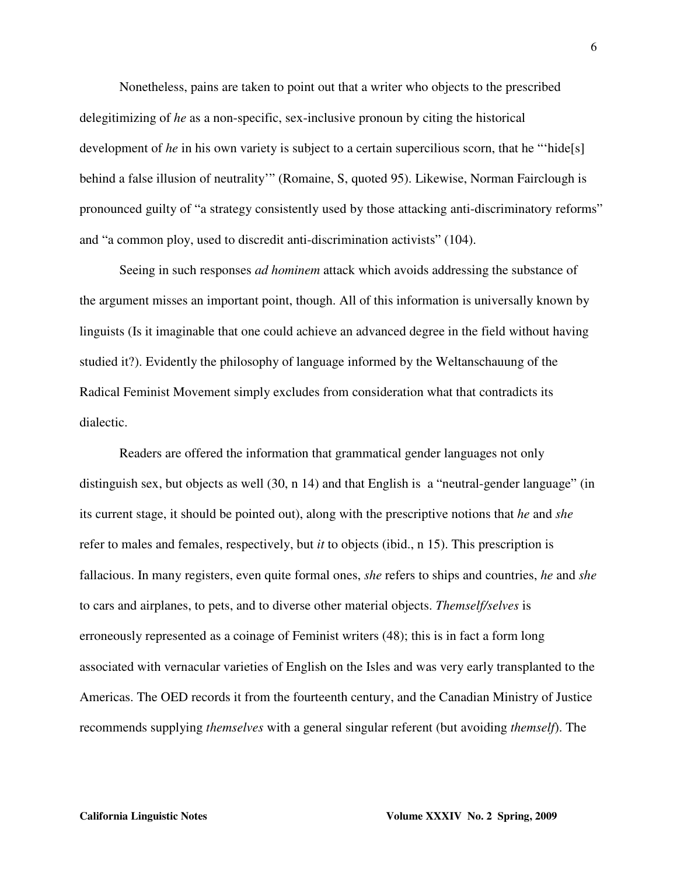Nonetheless, pains are taken to point out that a writer who objects to the prescribed delegitimizing of *he* as a non-specific, sex-inclusive pronoun by citing the historical development of *he* in his own variety is subject to a certain supercilious scorn, that he "hide[s] behind a false illusion of neutrality'" (Romaine, S, quoted 95). Likewise, Norman Fairclough is pronounced guilty of "a strategy consistently used by those attacking anti-discriminatory reforms" and "a common ploy, used to discredit anti-discrimination activists" (104).

Seeing in such responses *ad hominem* attack which avoids addressing the substance of the argument misses an important point, though. All of this information is universally known by linguists (Is it imaginable that one could achieve an advanced degree in the field without having studied it?). Evidently the philosophy of language informed by the Weltanschauung of the Radical Feminist Movement simply excludes from consideration what that contradicts its dialectic.

Readers are offered the information that grammatical gender languages not only distinguish sex, but objects as well (30, n 14) and that English is a "neutral-gender language" (in its current stage, it should be pointed out), along with the prescriptive notions that *he* and *she* refer to males and females, respectively, but *it* to objects (ibid., n 15). This prescription is fallacious. In many registers, even quite formal ones, *she* refers to ships and countries, *he* and *she* to cars and airplanes, to pets, and to diverse other material objects. *Themself/selves* is erroneously represented as a coinage of Feminist writers (48); this is in fact a form long associated with vernacular varieties of English on the Isles and was very early transplanted to the Americas. The OED records it from the fourteenth century, and the Canadian Ministry of Justice recommends supplying *themselves* with a general singular referent (but avoiding *themself*). The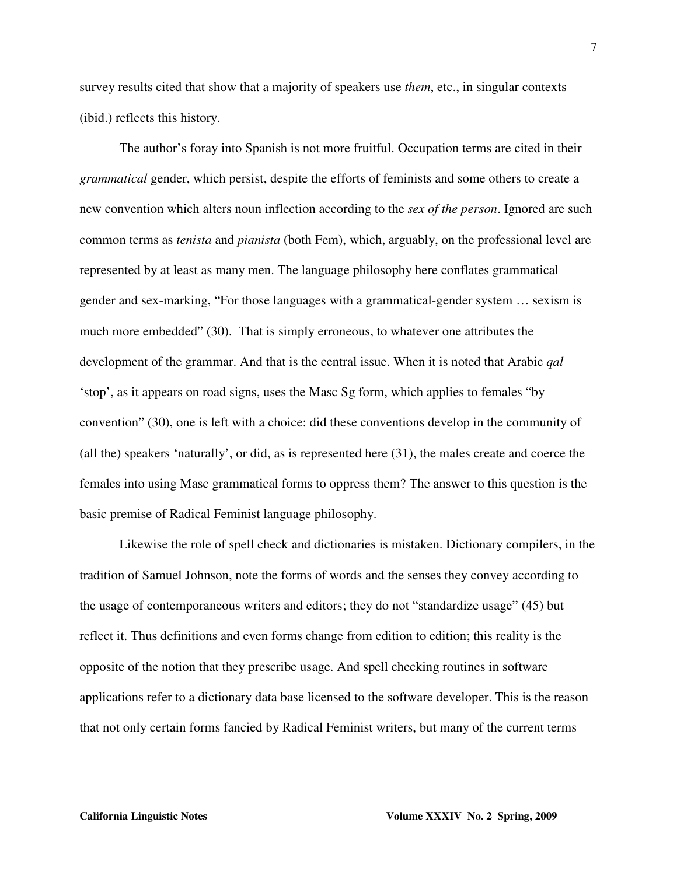survey results cited that show that a majority of speakers use *them*, etc., in singular contexts (ibid.) reflects this history.

The author's foray into Spanish is not more fruitful. Occupation terms are cited in their *grammatical* gender, which persist, despite the efforts of feminists and some others to create a new convention which alters noun inflection according to the *sex of the person*. Ignored are such common terms as *tenista* and *pianista* (both Fem), which, arguably, on the professional level are represented by at least as many men. The language philosophy here conflates grammatical gender and sex-marking, "For those languages with a grammatical-gender system … sexism is much more embedded" (30). That is simply erroneous, to whatever one attributes the development of the grammar. And that is the central issue. When it is noted that Arabic *qal* 'stop', as it appears on road signs, uses the Masc Sg form, which applies to females "by convention" (30), one is left with a choice: did these conventions develop in the community of (all the) speakers 'naturally', or did, as is represented here (31), the males create and coerce the females into using Masc grammatical forms to oppress them? The answer to this question is the basic premise of Radical Feminist language philosophy.

Likewise the role of spell check and dictionaries is mistaken. Dictionary compilers, in the tradition of Samuel Johnson, note the forms of words and the senses they convey according to the usage of contemporaneous writers and editors; they do not "standardize usage" (45) but reflect it. Thus definitions and even forms change from edition to edition; this reality is the opposite of the notion that they prescribe usage. And spell checking routines in software applications refer to a dictionary data base licensed to the software developer. This is the reason that not only certain forms fancied by Radical Feminist writers, but many of the current terms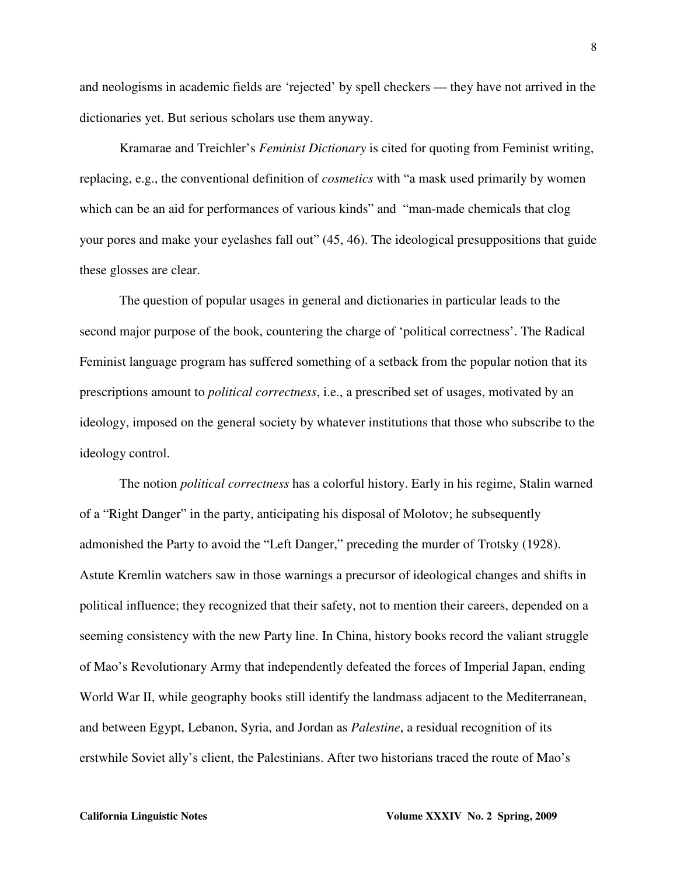and neologisms in academic fields are 'rejected' by spell checkers — they have not arrived in the dictionaries yet. But serious scholars use them anyway.

Kramarae and Treichler's *Feminist Dictionary* is cited for quoting from Feminist writing, replacing, e.g., the conventional definition of *cosmetics* with "a mask used primarily by women which can be an aid for performances of various kinds" and "man-made chemicals that clog your pores and make your eyelashes fall out" (45, 46). The ideological presuppositions that guide these glosses are clear.

The question of popular usages in general and dictionaries in particular leads to the second major purpose of the book, countering the charge of 'political correctness'. The Radical Feminist language program has suffered something of a setback from the popular notion that its prescriptions amount to *political correctness*, i.e., a prescribed set of usages, motivated by an ideology, imposed on the general society by whatever institutions that those who subscribe to the ideology control.

The notion *political correctness* has a colorful history. Early in his regime, Stalin warned of a "Right Danger" in the party, anticipating his disposal of Molotov; he subsequently admonished the Party to avoid the "Left Danger," preceding the murder of Trotsky (1928). Astute Kremlin watchers saw in those warnings a precursor of ideological changes and shifts in political influence; they recognized that their safety, not to mention their careers, depended on a seeming consistency with the new Party line. In China, history books record the valiant struggle of Mao's Revolutionary Army that independently defeated the forces of Imperial Japan, ending World War II, while geography books still identify the landmass adjacent to the Mediterranean, and between Egypt, Lebanon, Syria, and Jordan as *Palestine*, a residual recognition of its erstwhile Soviet ally's client, the Palestinians. After two historians traced the route of Mao's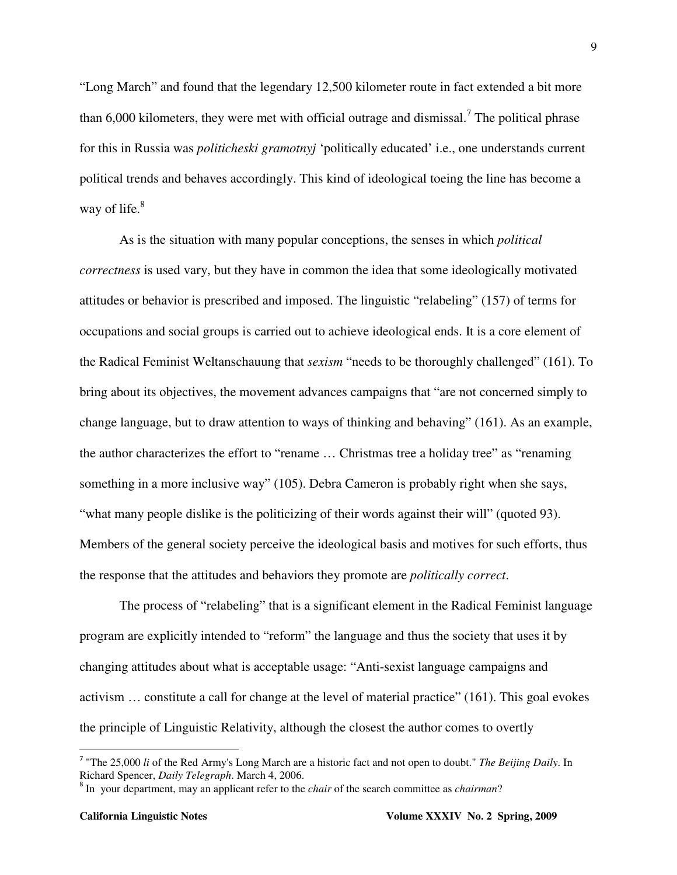"Long March" and found that the legendary 12,500 kilometer route in fact extended a bit more than  $6,000$  kilometers, they were met with official outrage and dismissal.<sup>7</sup> The political phrase for this in Russia was *politicheski gramotnyj* 'politically educated' i.e., one understands current political trends and behaves accordingly. This kind of ideological toeing the line has become a way of life. $8<sup>8</sup>$ 

As is the situation with many popular conceptions, the senses in which *political correctness* is used vary, but they have in common the idea that some ideologically motivated attitudes or behavior is prescribed and imposed. The linguistic "relabeling" (157) of terms for occupations and social groups is carried out to achieve ideological ends. It is a core element of the Radical Feminist Weltanschauung that *sexism* "needs to be thoroughly challenged" (161). To bring about its objectives, the movement advances campaigns that "are not concerned simply to change language, but to draw attention to ways of thinking and behaving" (161). As an example, the author characterizes the effort to "rename … Christmas tree a holiday tree" as "renaming something in a more inclusive way" (105). Debra Cameron is probably right when she says, "what many people dislike is the politicizing of their words against their will" (quoted 93). Members of the general society perceive the ideological basis and motives for such efforts, thus the response that the attitudes and behaviors they promote are *politically correct*.

The process of "relabeling" that is a significant element in the Radical Feminist language program are explicitly intended to "reform" the language and thus the society that uses it by changing attitudes about what is acceptable usage: "Anti-sexist language campaigns and activism … constitute a call for change at the level of material practice" (161). This goal evokes the principle of Linguistic Relativity, although the closest the author comes to overtly

<sup>&</sup>lt;sup>7</sup> "The 25,000 *li* of the Red Army's Long March are a historic fact and not open to doubt." *The Beijing Daily*. In Richard Spencer, *Daily Telegraph*. March 4, 2006.

<sup>8</sup> In your department, may an applicant refer to the *chair* of the search committee as *chairman*?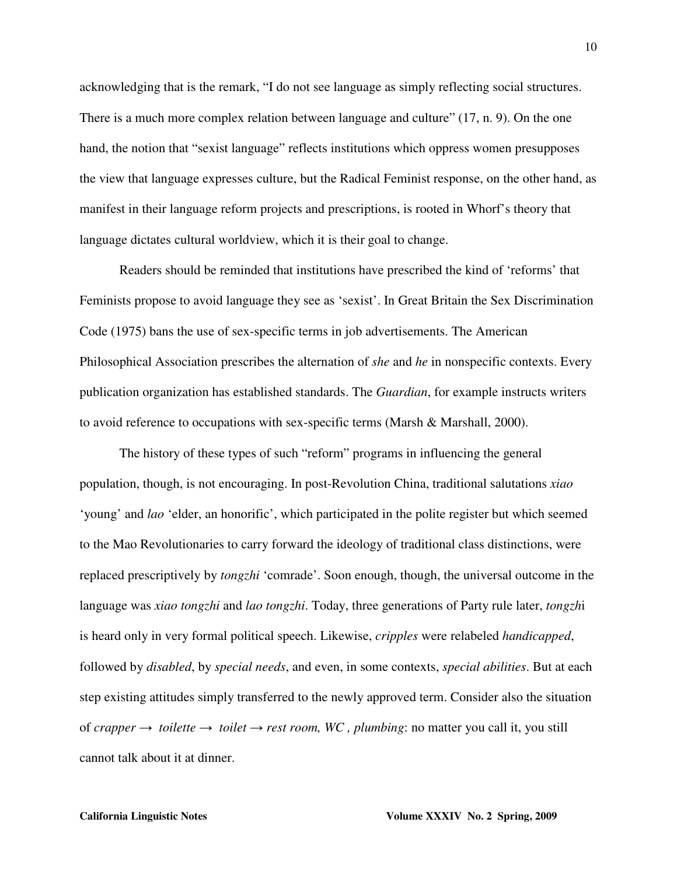acknowledging that is the remark, "I do not see language as simply reflecting social structures. There is a much more complex relation between language and culture" (17, n. 9). On the one hand, the notion that "sexist language" reflects institutions which oppress women presupposes the view that language expresses culture, but the Radical Feminist response, on the other hand, as manifest in their language reform projects and prescriptions, is rooted in Whorf's theory that language dictates cultural worldview, which it is their goal to change.

Readers should be reminded that institutions have prescribed the kind of 'reforms' that Feminists propose to avoid language they see as 'sexist'. In Great Britain the Sex Discrimination Code (1975) bans the use of sex-specific terms in job advertisements. The American Philosophical Association prescribes the alternation of *she* and *he* in nonspecific contexts. Every publication organization has established standards. The *Guardian*, for example instructs writers to avoid reference to occupations with sex-specific terms (Marsh & Marshall, 2000).

The history of these types of such "reform" programs in influencing the general population, though, is not encouraging. In post-Revolution China, traditional salutations *xiao* 'young' and *lao* 'elder, an honorific', which participated in the polite register but which seemed to the Mao Revolutionaries to carry forward the ideology of traditional class distinctions, were replaced prescriptively by *tongzhi* 'comrade'. Soon enough, though, the universal outcome in the language was *xiao tongzhi* and *lao tongzhi*. Today, three generations of Party rule later, *tongzh*i is heard only in very formal political speech. Likewise, *cripples* were relabeled *handicapped*, followed by *disabled*, by *special needs*, and even, in some contexts, *special abilities*. But at each step existing attitudes simply transferred to the newly approved term. Consider also the situation of *crapper* → *toilette* → *toilet* → *rest room, WC , plumbing*: no matter you call it, you still cannot talk about it at dinner.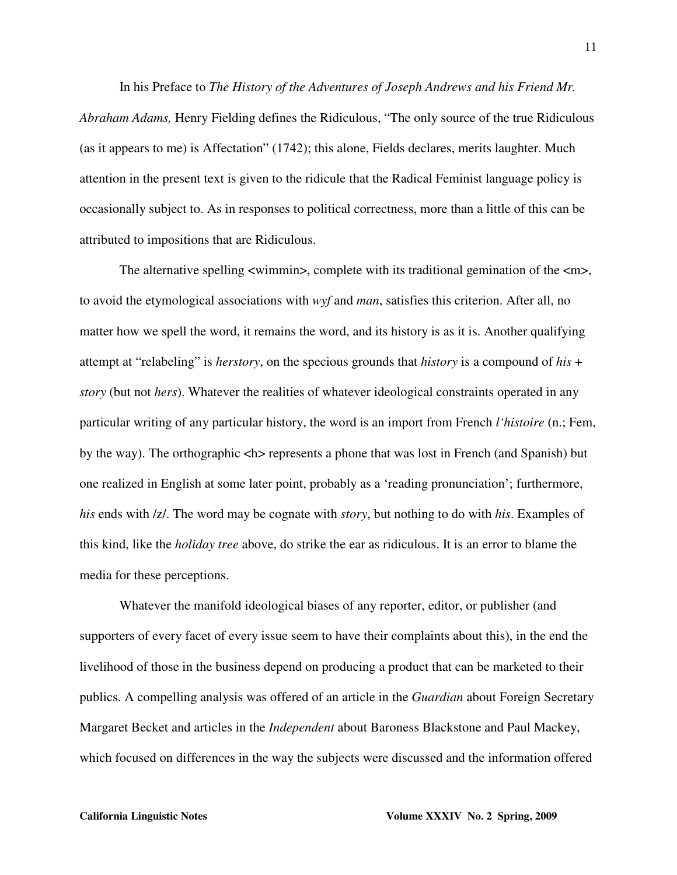In his Preface to *The History of the Adventures of Joseph Andrews and his Friend Mr. Abraham Adams,* Henry Fielding defines the Ridiculous, "The only source of the true Ridiculous (as it appears to me) is Affectation" (1742); this alone, Fields declares, merits laughter. Much attention in the present text is given to the ridicule that the Radical Feminist language policy is occasionally subject to. As in responses to political correctness, more than a little of this can be attributed to impositions that are Ridiculous.

The alternative spelling  $\langle$ wimmin $\rangle$ , complete with its traditional gemination of the  $\langle$ m $\rangle$ , to avoid the etymological associations with *wyf* and *man*, satisfies this criterion. After all, no matter how we spell the word, it remains the word, and its history is as it is. Another qualifying attempt at "relabeling" is *herstory*, on the specious grounds that *history* is a compound of *his* + *story* (but not *hers*). Whatever the realities of whatever ideological constraints operated in any particular writing of any particular history, the word is an import from French *l'histoire* (n.; Fem, by the way). The orthographic  $\langle h \rangle$  represents a phone that was lost in French (and Spanish) but one realized in English at some later point, probably as a 'reading pronunciation'; furthermore, *his* ends with /z/. The word may be cognate with *story*, but nothing to do with *his*. Examples of this kind, like the *holiday tree* above, do strike the ear as ridiculous. It is an error to blame the media for these perceptions.

Whatever the manifold ideological biases of any reporter, editor, or publisher (and supporters of every facet of every issue seem to have their complaints about this), in the end the livelihood of those in the business depend on producing a product that can be marketed to their publics. A compelling analysis was offered of an article in the *Guardian* about Foreign Secretary Margaret Becket and articles in the *Independent* about Baroness Blackstone and Paul Mackey, which focused on differences in the way the subjects were discussed and the information offered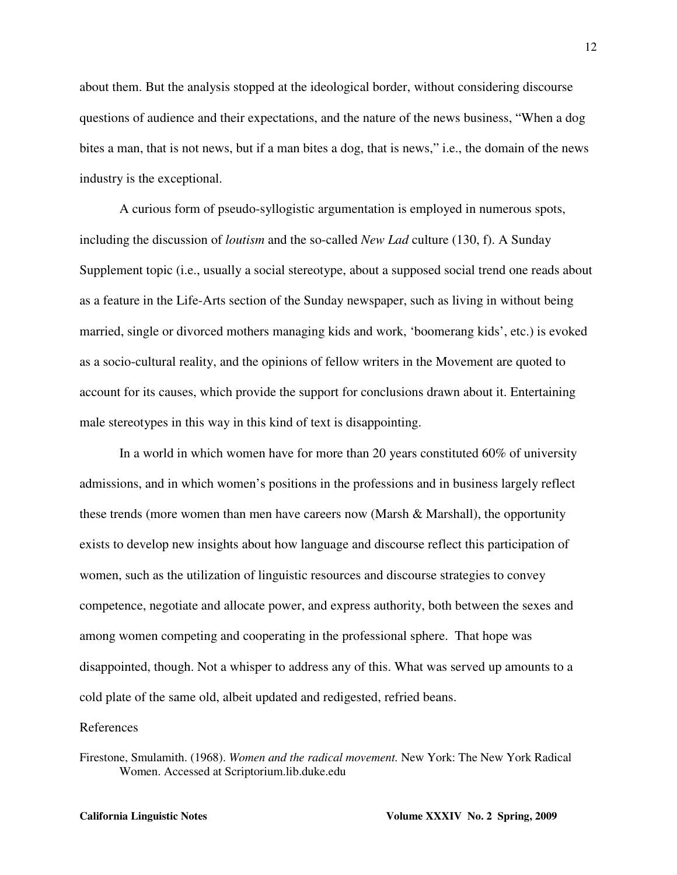about them. But the analysis stopped at the ideological border, without considering discourse questions of audience and their expectations, and the nature of the news business, "When a dog bites a man, that is not news, but if a man bites a dog, that is news," i.e., the domain of the news industry is the exceptional.

A curious form of pseudo-syllogistic argumentation is employed in numerous spots, including the discussion of *loutism* and the so-called *New Lad* culture (130, f). A Sunday Supplement topic (i.e., usually a social stereotype, about a supposed social trend one reads about as a feature in the Life-Arts section of the Sunday newspaper, such as living in without being married, single or divorced mothers managing kids and work, 'boomerang kids', etc.) is evoked as a socio-cultural reality, and the opinions of fellow writers in the Movement are quoted to account for its causes, which provide the support for conclusions drawn about it. Entertaining male stereotypes in this way in this kind of text is disappointing.

In a world in which women have for more than 20 years constituted 60% of university admissions, and in which women's positions in the professions and in business largely reflect these trends (more women than men have careers now (Marsh & Marshall), the opportunity exists to develop new insights about how language and discourse reflect this participation of women, such as the utilization of linguistic resources and discourse strategies to convey competence, negotiate and allocate power, and express authority, both between the sexes and among women competing and cooperating in the professional sphere. That hope was disappointed, though. Not a whisper to address any of this. What was served up amounts to a cold plate of the same old, albeit updated and redigested, refried beans.

## References

Firestone, Smulamith. (1968). *Women and the radical movement.* New York: The New York Radical Women. Accessed at Scriptorium.lib.duke.edu